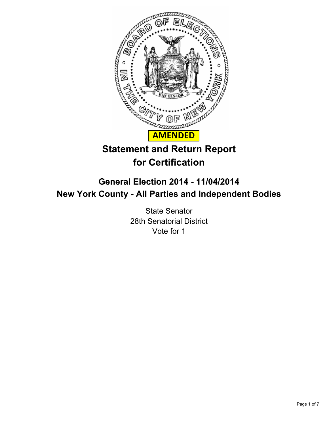

# **Statement and Return Report for Certification**

## **General Election 2014 - 11/04/2014 New York County - All Parties and Independent Bodies**

State Senator 28th Senatorial District Vote for 1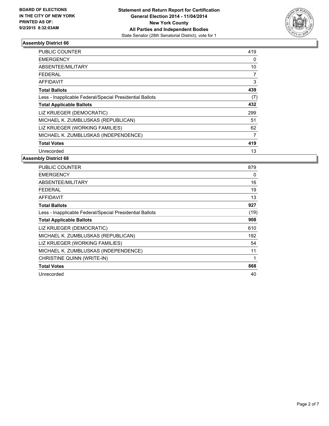

| <b>PUBLIC COUNTER</b>                                    | 419 |
|----------------------------------------------------------|-----|
| <b>EMERGENCY</b>                                         | 0   |
| ABSENTEE/MILITARY                                        | 10  |
| FEDERAL                                                  | 7   |
| <b>AFFIDAVIT</b>                                         | 3   |
| <b>Total Ballots</b>                                     | 439 |
| Less - Inapplicable Federal/Special Presidential Ballots | (7) |
| <b>Total Applicable Ballots</b>                          | 432 |
| LIZ KRUEGER (DEMOCRATIC)                                 | 299 |
| MICHAEL K. ZUMBLUSKAS (REPUBLICAN)                       | 51  |
| LIZ KRUEGER (WORKING FAMILIES)                           | 62  |
| MICHAEL K. ZUMBLUSKAS (INDEPENDENCE)                     | 7   |
| <b>Total Votes</b>                                       | 419 |
| Unrecorded                                               | 13  |

| <b>PUBLIC COUNTER</b>                                    | 879  |
|----------------------------------------------------------|------|
| <b>EMERGENCY</b>                                         | 0    |
| ABSENTEE/MILITARY                                        | 16   |
| <b>FEDERAL</b>                                           | 19   |
| <b>AFFIDAVIT</b>                                         | 13   |
| <b>Total Ballots</b>                                     | 927  |
| Less - Inapplicable Federal/Special Presidential Ballots | (19) |
| <b>Total Applicable Ballots</b>                          | 908  |
| LIZ KRUEGER (DEMOCRATIC)                                 | 610  |
| MICHAEL K. ZUMBLUSKAS (REPUBLICAN)                       | 192  |
| LIZ KRUEGER (WORKING FAMILIES)                           | 54   |
| MICHAEL K. ZUMBLUSKAS (INDEPENDENCE)                     | 11   |
| CHRISTINE QUINN (WRITE-IN)                               | 1    |
| <b>Total Votes</b>                                       | 868  |
| Unrecorded                                               | 40   |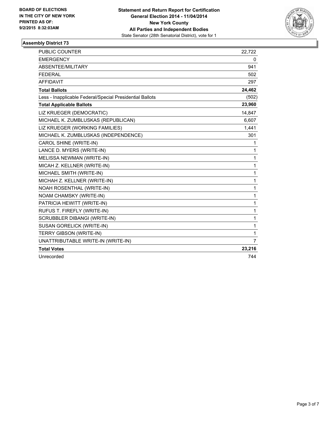

| <b>PUBLIC COUNTER</b>                                    | 22,722 |
|----------------------------------------------------------|--------|
| <b>EMERGENCY</b>                                         | 0      |
| ABSENTEE/MILITARY                                        | 941    |
| <b>FEDERAL</b>                                           | 502    |
| <b>AFFIDAVIT</b>                                         | 297    |
| <b>Total Ballots</b>                                     | 24,462 |
| Less - Inapplicable Federal/Special Presidential Ballots | (502)  |
| <b>Total Applicable Ballots</b>                          | 23,960 |
| LIZ KRUEGER (DEMOCRATIC)                                 | 14,847 |
| MICHAEL K. ZUMBLUSKAS (REPUBLICAN)                       | 6,607  |
| LIZ KRUEGER (WORKING FAMILIES)                           | 1,441  |
| MICHAEL K. ZUMBLUSKAS (INDEPENDENCE)                     | 301    |
| CAROL SHINE (WRITE-IN)                                   | 1      |
| LANCE D. MYERS (WRITE-IN)                                | 1      |
| MELISSA NEWMAN (WRITE-IN)                                | 1      |
| MICAH Z. KELLNER (WRITE-IN)                              | 1      |
| MICHAEL SMITH (WRITE-IN)                                 | 1      |
| MICHAH Z. KELLNER (WRITE-IN)                             | 1      |
| NOAH ROSENTHAL (WRITE-IN)                                | 1      |
| NOAM CHAMSKY (WRITE-IN)                                  | 1      |
| PATRICIA HEWITT (WRITE-IN)                               | 1      |
| RUFUS T. FIREFLY (WRITE-IN)                              | 1      |
| <b>SCRUBBLER DIBANGI (WRITE-IN)</b>                      | 1      |
| SUSAN GORELICK (WRITE-IN)                                | 1      |
| <b>TERRY GIBSON (WRITE-IN)</b>                           | 1      |
| UNATTRIBUTABLE WRITE-IN (WRITE-IN)                       | 7      |
| <b>Total Votes</b>                                       | 23,216 |
| Unrecorded                                               | 744    |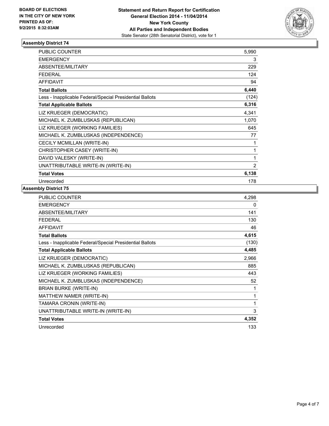

| PUBLIC COUNTER                                           | 5,990          |
|----------------------------------------------------------|----------------|
| <b>EMERGENCY</b>                                         | 3              |
| <b>ABSENTEE/MILITARY</b>                                 | 229            |
| FEDERAL                                                  | 124            |
| <b>AFFIDAVIT</b>                                         | 94             |
| <b>Total Ballots</b>                                     | 6,440          |
| Less - Inapplicable Federal/Special Presidential Ballots | (124)          |
| <b>Total Applicable Ballots</b>                          | 6,316          |
| LIZ KRUEGER (DEMOCRATIC)                                 | 4,341          |
| MICHAEL K. ZUMBLUSKAS (REPUBLICAN)                       | 1,070          |
| LIZ KRUEGER (WORKING FAMILIES)                           | 645            |
| MICHAEL K. ZUMBLUSKAS (INDEPENDENCE)                     | 77             |
| CECILY MCMILLAN (WRITE-IN)                               | 1              |
| CHRISTOPHER CASEY (WRITE-IN)                             | 1              |
| DAVID VALESKY (WRITE-IN)                                 | 1              |
| UNATTRIBUTABLE WRITE-IN (WRITE-IN)                       | $\overline{2}$ |
| <b>Total Votes</b>                                       | 6,138          |
| Unrecorded                                               | 178            |

| PUBLIC COUNTER                                           | 4,298 |
|----------------------------------------------------------|-------|
| <b>EMERGENCY</b>                                         | 0     |
| ABSENTEE/MILITARY                                        | 141   |
| <b>FEDERAL</b>                                           | 130   |
| <b>AFFIDAVIT</b>                                         | 46    |
| <b>Total Ballots</b>                                     | 4,615 |
| Less - Inapplicable Federal/Special Presidential Ballots | (130) |
| <b>Total Applicable Ballots</b>                          | 4,485 |
| LIZ KRUEGER (DEMOCRATIC)                                 | 2,966 |
| MICHAEL K. ZUMBLUSKAS (REPUBLICAN)                       | 885   |
| LIZ KRUEGER (WORKING FAMILIES)                           | 443   |
| MICHAEL K. ZUMBLUSKAS (INDEPENDENCE)                     | 52    |
| BRIAN BURKE (WRITE-IN)                                   | 1     |
| MATTHEW NAMER (WRITE-IN)                                 | 1     |
| TAMARA CRONIN (WRITE-IN)                                 | 1     |
| UNATTRIBUTABLE WRITE-IN (WRITE-IN)                       | 3     |
| <b>Total Votes</b>                                       | 4,352 |
| Unrecorded                                               | 133   |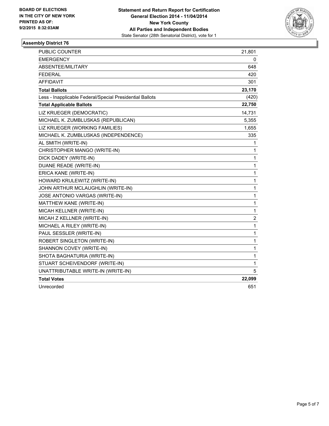

| PUBLIC COUNTER                                           | 21,801 |
|----------------------------------------------------------|--------|
| <b>EMERGENCY</b>                                         | 0      |
| ABSENTEE/MILITARY                                        | 648    |
| <b>FEDERAL</b>                                           | 420    |
| <b>AFFIDAVIT</b>                                         | 301    |
| <b>Total Ballots</b>                                     | 23,170 |
| Less - Inapplicable Federal/Special Presidential Ballots | (420)  |
| <b>Total Applicable Ballots</b>                          | 22,750 |
| LIZ KRUEGER (DEMOCRATIC)                                 | 14,731 |
| MICHAEL K. ZUMBLUSKAS (REPUBLICAN)                       | 5,355  |
| LIZ KRUEGER (WORKING FAMILIES)                           | 1,655  |
| MICHAEL K. ZUMBLUSKAS (INDEPENDENCE)                     | 335    |
| AL SMITH (WRITE-IN)                                      | 1      |
| CHRISTOPHER MANGO (WRITE-IN)                             | 1      |
| DICK DADEY (WRITE-IN)                                    | 1      |
| DUANE READE (WRITE-IN)                                   | 1      |
| ERICA KANE (WRITE-IN)                                    | 1      |
| HOWARD KRULEWITZ (WRITE-IN)                              | 1      |
| JOHN ARTHUR MCLAUGHLIN (WRITE-IN)                        | 1      |
| JOSE ANTONIO VARGAS (WRITE-IN)                           | 1      |
| MATTHEW KANE (WRITE-IN)                                  | 1      |
| MICAH KELLNER (WRITE-IN)                                 | 1      |
| MICAH Z KELLNER (WRITE-IN)                               | 2      |
| MICHAEL A RILEY (WRITE-IN)                               | 1      |
| PAUL SESSLER (WRITE-IN)                                  | 1      |
| ROBERT SINGLETON (WRITE-IN)                              | 1      |
| SHANNON COVEY (WRITE-IN)                                 | 1      |
| SHOTA BAGHATURIA (WRITE-IN)                              | 1      |
| STUART SCHEIVENDORF (WRITE-IN)                           | 1      |
| UNATTRIBUTABLE WRITE-IN (WRITE-IN)                       | 5      |
| <b>Total Votes</b>                                       | 22,099 |
| Unrecorded                                               | 651    |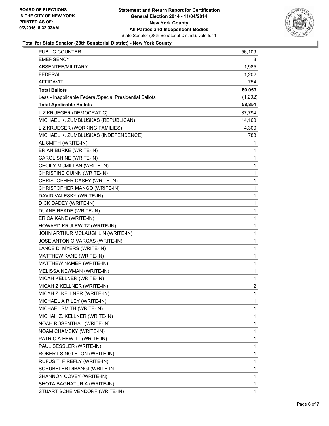

#### **Total for State Senator (28th Senatorial District) - New York County**

| <b>PUBLIC COUNTER</b>                                    | 56,109         |
|----------------------------------------------------------|----------------|
| <b>EMERGENCY</b>                                         | 3              |
| ABSENTEE/MILITARY                                        | 1,985          |
| <b>FEDERAL</b>                                           | 1,202          |
| <b>AFFIDAVIT</b>                                         | 754            |
| <b>Total Ballots</b>                                     | 60,053         |
| Less - Inapplicable Federal/Special Presidential Ballots | (1,202)        |
| <b>Total Applicable Ballots</b>                          | 58,851         |
| LIZ KRUEGER (DEMOCRATIC)                                 | 37,794         |
| MICHAEL K. ZUMBLUSKAS (REPUBLICAN)                       | 14,160         |
| LIZ KRUEGER (WORKING FAMILIES)                           | 4,300          |
| MICHAEL K. ZUMBLUSKAS (INDEPENDENCE)                     | 783            |
| AL SMITH (WRITE-IN)                                      | 1              |
| <b>BRIAN BURKE (WRITE-IN)</b>                            | 1              |
| CAROL SHINE (WRITE-IN)                                   | 1              |
| CECILY MCMILLAN (WRITE-IN)                               | 1              |
| CHRISTINE QUINN (WRITE-IN)                               | 1              |
| CHRISTOPHER CASEY (WRITE-IN)                             | 1              |
| CHRISTOPHER MANGO (WRITE-IN)                             | 1              |
| DAVID VALESKY (WRITE-IN)                                 | 1              |
| DICK DADEY (WRITE-IN)                                    | $\mathbf 1$    |
| DUANE READE (WRITE-IN)                                   | 1              |
| ERICA KANE (WRITE-IN)                                    | 1              |
| HOWARD KRULEWITZ (WRITE-IN)                              | 1              |
| JOHN ARTHUR MCLAUGHLIN (WRITE-IN)                        | 1              |
| JOSE ANTONIO VARGAS (WRITE-IN)                           | 1              |
| LANCE D. MYERS (WRITE-IN)                                | 1              |
| MATTHEW KANE (WRITE-IN)                                  | 1              |
| MATTHEW NAMER (WRITE-IN)                                 | 1              |
| MELISSA NEWMAN (WRITE-IN)                                | 1              |
| MICAH KELLNER (WRITE-IN)                                 | 1              |
| MICAH Z KELLNER (WRITE-IN)                               | $\overline{c}$ |
| MICAH Z. KELLNER (WRITE-IN)                              | 1              |
| MICHAEL A RILEY (WRITE-IN)                               | 1              |
| MICHAEL SMITH (WRITE-IN)                                 | 1              |
| MICHAH Z. KELLNER (WRITE-IN)                             | 1              |
| NOAH ROSENTHAL (WRITE-IN)                                | 1              |
| NOAM CHAMSKY (WRITE-IN)                                  | 1              |
| PATRICIA HEWITT (WRITE-IN)                               | 1              |
| PAUL SESSLER (WRITE-IN)                                  | 1              |
| ROBERT SINGLETON (WRITE-IN)                              | 1              |
| RUFUS T. FIREFLY (WRITE-IN)                              | 1              |
| SCRUBBLER DIBANGI (WRITE-IN)                             | 1              |
| SHANNON COVEY (WRITE-IN)                                 | 1              |
| SHOTA BAGHATURIA (WRITE-IN)                              | 1              |
| STUART SCHEIVENDORF (WRITE-IN)                           | 1              |